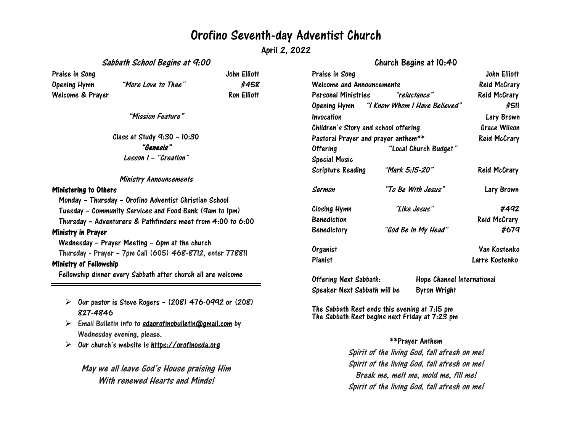## Orofino Seventh-day Adventist Church

April 2, 2022

### Sabbath School Begins at 9:00

### Church Begins at 10:40

| Praise in Song                                                        |                                                        | John Elliott       | Praise in Song                                                                                  |                                                             |                               | John Elliott        |
|-----------------------------------------------------------------------|--------------------------------------------------------|--------------------|-------------------------------------------------------------------------------------------------|-------------------------------------------------------------|-------------------------------|---------------------|
| <b>Opening Hymn</b>                                                   | "More Love to Thee"                                    | #458               | <b>Welcome and Announcements</b>                                                                |                                                             |                               | <b>Reid McCrary</b> |
| Welcome & Prayer                                                      |                                                        | <b>Ron Elliott</b> | <b>Personal Ministries</b>                                                                      |                                                             | "reluctance"                  | <b>Reid McCrary</b> |
|                                                                       |                                                        |                    | Opening Hymn                                                                                    |                                                             | "I Know Whom I Have Believed" | #511                |
| "Mission Feature"                                                     |                                                        |                    | Invocation                                                                                      |                                                             |                               | Lary Brown          |
|                                                                       |                                                        |                    | Children's Story and school offering                                                            |                                                             |                               | <b>Grace Wilson</b> |
| Class at Study 9:30 - 10:30                                           |                                                        |                    | Pastoral Prayer and prayer anthem**                                                             |                                                             |                               | <b>Reid McCrary</b> |
| "Genesis"                                                             |                                                        |                    | <b>Offering</b>                                                                                 | "Local Church Budget"                                       |                               |                     |
| Lesson 1 - "Creation"                                                 |                                                        |                    | <b>Special Music</b>                                                                            |                                                             |                               |                     |
|                                                                       |                                                        |                    | <b>Scripture Reading</b>                                                                        | "Mark 5:15-20"                                              |                               | Reid McCrary        |
|                                                                       | <b>Ministry Announcements</b>                          |                    |                                                                                                 |                                                             |                               |                     |
| <b>Ministering to Others</b>                                          |                                                        |                    | Sermon                                                                                          | "To Be With Jesus"                                          |                               | Lary Brown          |
|                                                                       | Monday - Thursday - Orofino Adventist Christian School |                    |                                                                                                 |                                                             |                               |                     |
| Tuesday - Community Services and Food Bank (9am to 1pm)               |                                                        |                    | Closing Hymn                                                                                    | "Like Jesus"                                                |                               | #492                |
| Thursday - Adventurers & Pathfinders meet from 4:00 to 6:00           |                                                        |                    | <b>Benediction</b>                                                                              |                                                             |                               | Reid McCrary        |
| Ministry in Prayer                                                    |                                                        |                    | Benedictory                                                                                     | "God Be in My Head"                                         |                               | #679                |
|                                                                       | Wednesday - Prayer Meeting - 6pm at the church         |                    |                                                                                                 |                                                             |                               |                     |
| Thursday - Prayer - 7pm Call (605) 468-8712, enter 778811             |                                                        |                    | Organist                                                                                        |                                                             |                               | Van Kostenko        |
| Ministry of Fellowship                                                |                                                        |                    | Pianist                                                                                         |                                                             |                               | Larre Kostenko      |
| Fellowship dinner every Sabbath after church all are welcome          |                                                        |                    |                                                                                                 |                                                             |                               |                     |
|                                                                       |                                                        |                    |                                                                                                 | <b>Offering Next Sabbath:</b><br>Hope Channel International |                               |                     |
|                                                                       |                                                        |                    | Speaker Next Sabbath will be                                                                    |                                                             | <b>Byron Wright</b>           |                     |
| Our pastor is Steve Rogers - (208) 476-0992 or (208)<br>➤<br>827-4846 |                                                        |                    | The Sabbath Rest ends this evening at 7:15 pm<br>The Sabbath Rest begins next Friday at 7:23 pm |                                                             |                               |                     |

- $\triangleright$  Email Bulletin info to [sdaorofinobulletin@gmail.com](mailto:sdaorofinobulletin@gmail.com) by Wednesday evening, please.
- $\geq$ Our church's website is [https://orofinosda.org](https://orofinosda.org/)

May we all leave God's House praising Him With renewed Hearts and Minds!

#### \*\*Prayer Anthem

Spirit of the living God, fall afresh on me! Spirit of the living God, fall afresh on me! Break me, melt me, mold me, fill me! Spirit of the living God, fall afresh on me!